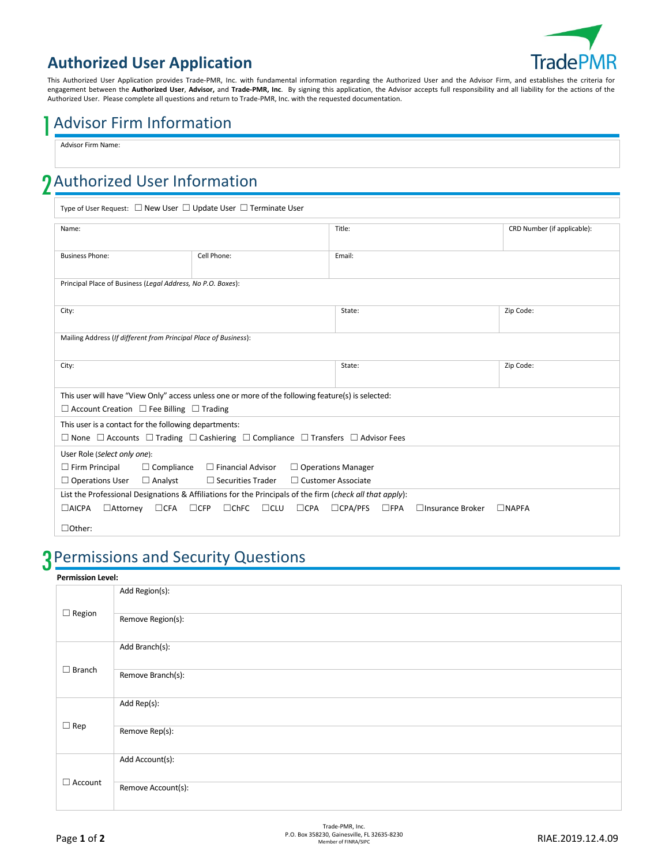

### **Authorized User Application**

This Authorized User Application provides Trade-PMR, Inc. with fundamental information regarding the Authorized User and the Advisor Firm, and establishes the criteria for engagement between the **Authorized User**, **Advisor,** and **Trade-PMR, Inc**. By signing this application, the Advisor accepts full responsibility and all liability for the actions of the Authorized User. Please complete all questions and return to Trade-PMR, Inc. with the requested documentation.

## 1Advisor Firm Information

Advisor Firm Name:

# 2Authorized User Information

Type of User Request: ☐ New User ☐ Update User ☐ Terminate User

| Name:                                                                                                               |                                                       | Title:                                                     | CRD Number (if applicable): |  |  |  |
|---------------------------------------------------------------------------------------------------------------------|-------------------------------------------------------|------------------------------------------------------------|-----------------------------|--|--|--|
|                                                                                                                     |                                                       |                                                            |                             |  |  |  |
| <b>Business Phone:</b>                                                                                              | Cell Phone:                                           | Email:                                                     |                             |  |  |  |
|                                                                                                                     |                                                       |                                                            |                             |  |  |  |
| Principal Place of Business (Legal Address, No P.O. Boxes):                                                         |                                                       |                                                            |                             |  |  |  |
|                                                                                                                     |                                                       |                                                            |                             |  |  |  |
| City:                                                                                                               |                                                       | State:                                                     | Zip Code:                   |  |  |  |
|                                                                                                                     |                                                       |                                                            |                             |  |  |  |
| Mailing Address (If different from Principal Place of Business):                                                    |                                                       |                                                            |                             |  |  |  |
|                                                                                                                     |                                                       |                                                            |                             |  |  |  |
| City:                                                                                                               |                                                       | State:                                                     | Zip Code:                   |  |  |  |
|                                                                                                                     |                                                       |                                                            |                             |  |  |  |
| This user will have "View Only" access unless one or more of the following feature(s) is selected:                  |                                                       |                                                            |                             |  |  |  |
| $\Box$ Account Creation $\Box$ Fee Billing $\Box$ Trading                                                           |                                                       |                                                            |                             |  |  |  |
| This user is a contact for the following departments:                                                               |                                                       |                                                            |                             |  |  |  |
| $\Box$ None $\Box$ Accounts $\Box$ Trading $\Box$ Cashiering $\Box$ Compliance $\Box$ Transfers $\Box$ Advisor Fees |                                                       |                                                            |                             |  |  |  |
| User Role (select only one):                                                                                        |                                                       |                                                            |                             |  |  |  |
| $\Box$ Firm Principal<br>$\Box$ Financial Advisor<br>$\Box$ Operations Manager<br>$\Box$ Compliance                 |                                                       |                                                            |                             |  |  |  |
| $\Box$ Securities Trader<br>□ Customer Associate<br>$\Box$ Operations User<br>$\Box$ Analyst                        |                                                       |                                                            |                             |  |  |  |
| List the Professional Designations & Affiliations for the Principals of the firm (check all that apply):            |                                                       |                                                            |                             |  |  |  |
| $\Box$ AICPA<br>$\Box$ CFA<br>$\Box$ Attorney                                                                       | $\Box$ CFP<br>$\Box$ ChFC<br>$\Box$ CLU<br>$\Box$ CPA | $\Box$ CPA/PFS<br>$\square$ FPA<br>$\Box$ Insurance Broker | $\Box$ NAPFA                |  |  |  |
|                                                                                                                     |                                                       |                                                            |                             |  |  |  |
| $\Box$ Other:                                                                                                       |                                                       |                                                            |                             |  |  |  |

## 3Permissions and Security Questions

| <b>Permission Level:</b> |                    |  |
|--------------------------|--------------------|--|
| $\Box$ Region            | Add Region(s):     |  |
|                          | Remove Region(s):  |  |
| $\Box$ Branch            | Add Branch(s):     |  |
|                          | Remove Branch(s):  |  |
| $\Box$ Rep               | Add Rep(s):        |  |
|                          | Remove Rep(s):     |  |
| $\Box$ Account           | Add Account(s):    |  |
|                          | Remove Account(s): |  |